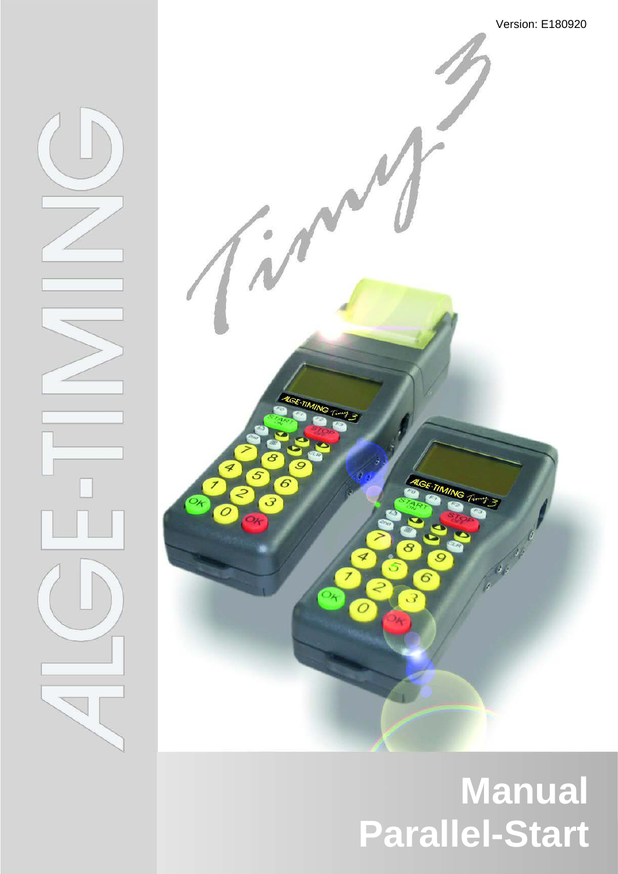

# **Manual Parallel-Start**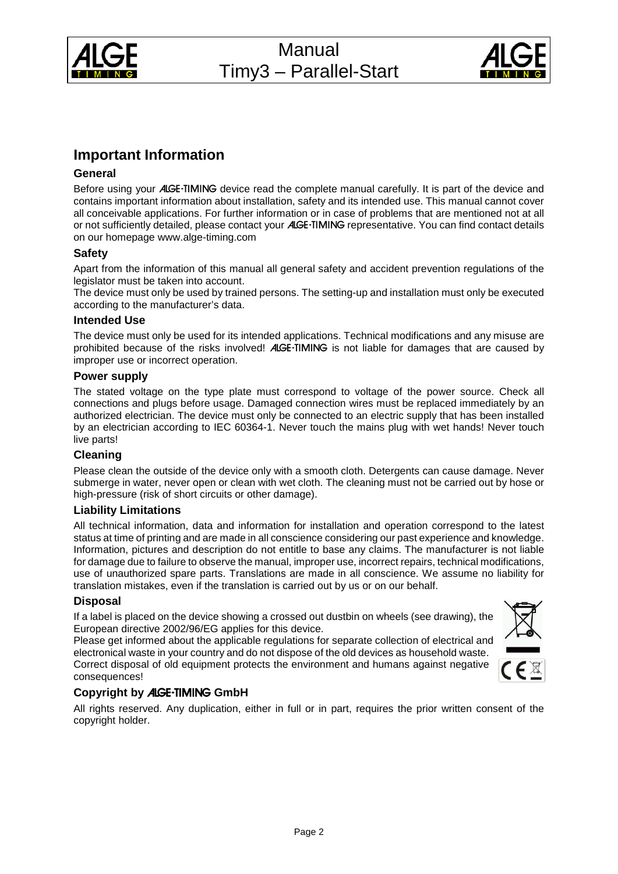



# **Important Information**

#### **General**

Before using your ALGE-TIMING device read the complete manual carefully. It is part of the device and contains important information about installation, safety and its intended use. This manual cannot cover all conceivable applications. For further information or in case of problems that are mentioned not at all or not sufficiently detailed, please contact your ALGE-TIMING representative. You can find contact details on our homepage [www.alge-timing.com](http://www.alge-timing.com/)

#### **Safety**

Apart from the information of this manual all general safety and accident prevention regulations of the legislator must be taken into account.

The device must only be used by trained persons. The setting-up and installation must only be executed according to the manufacturer's data.

#### **Intended Use**

The device must only be used for its intended applications. Technical modifications and any misuse are prohibited because of the risks involved! ALGE-TIMING is not liable for damages that are caused by improper use or incorrect operation.

#### **Power supply**

The stated voltage on the type plate must correspond to voltage of the power source. Check all connections and plugs before usage. Damaged connection wires must be replaced immediately by an authorized electrician. The device must only be connected to an electric supply that has been installed by an electrician according to IEC 60364-1. Never touch the mains plug with wet hands! Never touch live parts!

#### **Cleaning**

Please clean the outside of the device only with a smooth cloth. Detergents can cause damage. Never submerge in water, never open or clean with wet cloth. The cleaning must not be carried out by hose or high-pressure (risk of short circuits or other damage).

#### **Liability Limitations**

All technical information, data and information for installation and operation correspond to the latest status at time of printing and are made in all conscience considering our past experience and knowledge. Information, pictures and description do not entitle to base any claims. The manufacturer is not liable for damage due to failure to observe the manual, improper use, incorrect repairs, technical modifications, use of unauthorized spare parts. Translations are made in all conscience. We assume no liability for translation mistakes, even if the translation is carried out by us or on our behalf.

#### **Disposal**

If a label is placed on the device showing a crossed out dustbin on wheels (see drawing), the European directive 2002/96/EG applies for this device.

Please get informed about the applicable regulations for separate collection of electrical and electronical waste in your country and do not dispose of the old devices as household waste. Correct disposal of old equipment protects the environment and humans against negative consequences!



#### **Copyright by** ALGE-TIMING **GmbH**

All rights reserved. Any duplication, either in full or in part, requires the prior written consent of the copyright holder.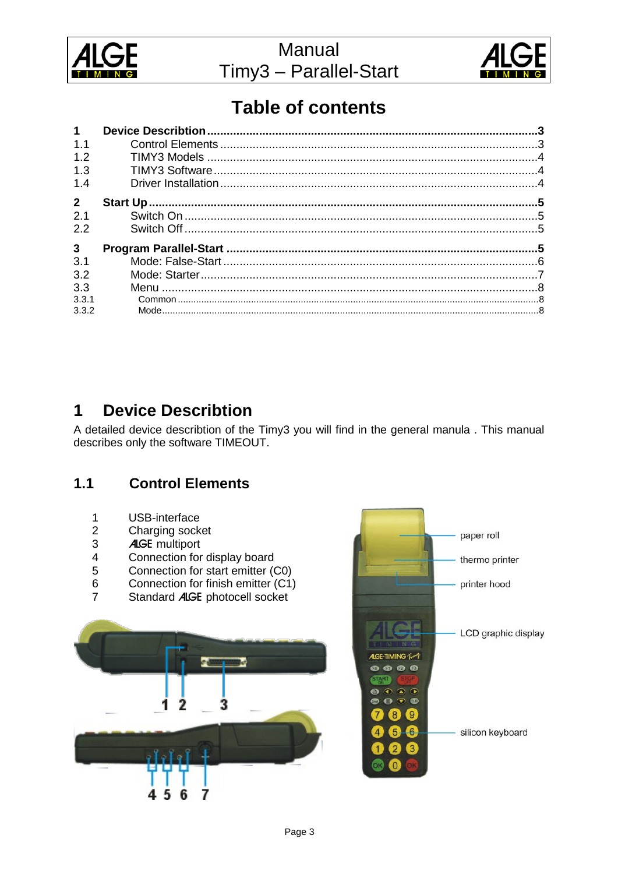



paper roll

thermo printer

printer hood

# **Table of contents**

| $\mathbf{1}$   |  |
|----------------|--|
| 1.1            |  |
| 1.2            |  |
| 1.3            |  |
| 1.4            |  |
| $\overline{2}$ |  |
| 2.1            |  |
| 2.2            |  |
| $\mathbf{3}$   |  |
| 3.1            |  |
| 3.2            |  |
| 3.3            |  |
| 3.3.1          |  |
| 3.3.2          |  |

#### <span id="page-2-0"></span>**Device Describtion** 1

A detailed device describtion of the Timy3 you will find in the general manula . This manual describes only the software TIMEOUT.

#### <span id="page-2-1"></span> $1.1$ **Control Elements**

- $\mathbf{1}$ USB-interface
- $\overline{2}$ Charging socket
- 3 **ALGE** multiport
- $\overline{4}$ Connection for display board
- 5 Connection for start emitter (C0)
- $\,6\,$ Connection for finish emitter (C1)
- $\overline{7}$ Standard ALGE photocell socket

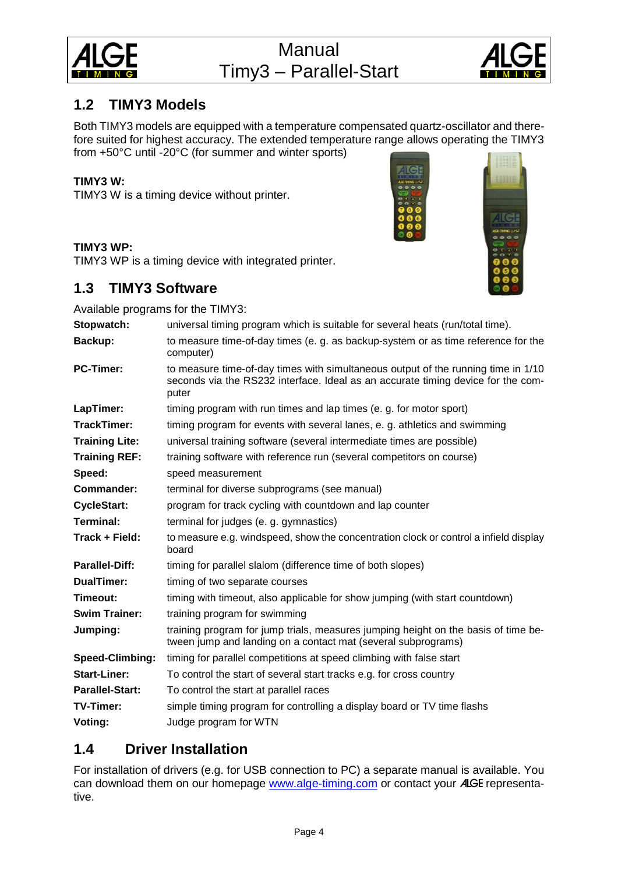



# <span id="page-3-0"></span>**1.2 TIMY3 Models**

Both TIMY3 models are equipped with a temperature compensated quartz-oscillator and therefore suited for highest accuracy. The extended temperature range allows operating the TIMY3 from +50°C until -20°C (for summer and winter sports)

# **TIMY3 W:**

TIMY3 W is a timing device without printer.



## **TIMY3 WP:**

<span id="page-3-1"></span>TIMY3 WP is a timing device with integrated printer.

# **1.3 TIMY3 Software**

Available programs for the TIMY3:

| Available programs for the There's. |                                                                                                                                                                                |  |  |
|-------------------------------------|--------------------------------------------------------------------------------------------------------------------------------------------------------------------------------|--|--|
| Stopwatch:                          | universal timing program which is suitable for several heats (run/total time).                                                                                                 |  |  |
| Backup:                             | to measure time-of-day times (e. g. as backup-system or as time reference for the<br>computer)                                                                                 |  |  |
| <b>PC-Timer:</b>                    | to measure time-of-day times with simultaneous output of the running time in 1/10<br>seconds via the RS232 interface. Ideal as an accurate timing device for the com-<br>puter |  |  |
| LapTimer:                           | timing program with run times and lap times (e. g. for motor sport)                                                                                                            |  |  |
| TrackTimer:                         | timing program for events with several lanes, e. g. athletics and swimming                                                                                                     |  |  |
| <b>Training Lite:</b>               | universal training software (several intermediate times are possible)                                                                                                          |  |  |
| <b>Training REF:</b>                | training software with reference run (several competitors on course)                                                                                                           |  |  |
| Speed:                              | speed measurement                                                                                                                                                              |  |  |
| Commander:                          | terminal for diverse subprograms (see manual)                                                                                                                                  |  |  |
| <b>CycleStart:</b>                  | program for track cycling with countdown and lap counter                                                                                                                       |  |  |
| <b>Terminal:</b>                    | terminal for judges (e. g. gymnastics)                                                                                                                                         |  |  |
| Track + Field:                      | to measure e.g. windspeed, show the concentration clock or control a infield display<br>board                                                                                  |  |  |
| <b>Parallel-Diff:</b>               | timing for parallel slalom (difference time of both slopes)                                                                                                                    |  |  |
| <b>DualTimer:</b>                   | timing of two separate courses                                                                                                                                                 |  |  |
| Timeout:                            | timing with timeout, also applicable for show jumping (with start countdown)                                                                                                   |  |  |
| <b>Swim Trainer:</b>                | training program for swimming                                                                                                                                                  |  |  |
| Jumping:                            | training program for jump trials, measures jumping height on the basis of time be-<br>tween jump and landing on a contact mat (several subprograms)                            |  |  |
| <b>Speed-Climbing:</b>              | timing for parallel competitions at speed climbing with false start                                                                                                            |  |  |
| <b>Start-Liner:</b>                 | To control the start of several start tracks e.g. for cross country                                                                                                            |  |  |
| Parallel-Start:                     | To control the start at parallel races                                                                                                                                         |  |  |
| TV-Timer:                           | simple timing program for controlling a display board or TV time flashs                                                                                                        |  |  |
| Voting:                             | Judge program for WTN                                                                                                                                                          |  |  |
|                                     |                                                                                                                                                                                |  |  |

# <span id="page-3-2"></span>**1.4 Driver Installation**

For installation of drivers (e.g. for USB connection to PC) a separate manual is available. You can download them on our homepage [www.alge-timing.com](http://www.alge-timing.com/) or contact your ALGE representative.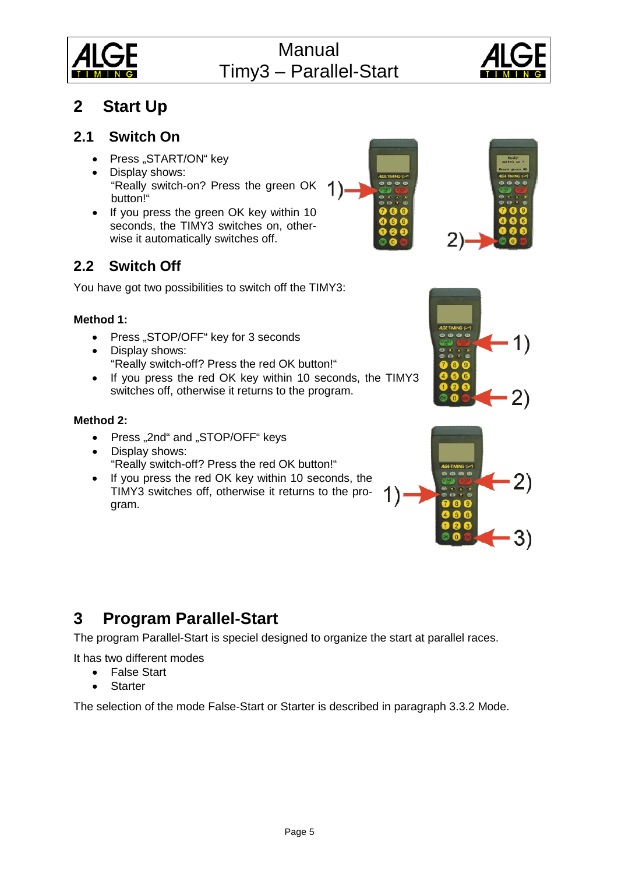



# <span id="page-4-0"></span>**2 Start Up**

# **2.1 Switch On**

- <span id="page-4-1"></span>• Press "START/ON" key
- Display shows: "Really switch-on? Press the green OK button!"
- If you press the green OK key within 10 seconds, the TIMY3 switches on, otherwise it automatically switches off.

# <span id="page-4-2"></span>**2.2 Switch Off**

You have got two possibilities to switch off the TIMY3:

# **Method 1:**

- Press "STOP/OFF" key for 3 seconds
- Display shows: "Really switch-off? Press the red OK button!"
- If you press the red OK key within 10 seconds, the TIMY3 switches off, otherwise it returns to the program.

# **Method 2:**

- Press "2nd" and "STOP/OFF" keys
- Display shows: "Really switch-off? Press the red OK button!"
- If you press the red OK key within 10 seconds, the TIMY3 switches off, otherwise it returns to the program.







# <span id="page-4-3"></span>**3 Program Parallel-Start**

The program Parallel-Start is speciel designed to organize the start at parallel races.

It has two different modes

- False Start
- **Starter**

The selection of the mode False-Start or Starter is described in paragraph 3.3.2 Mode.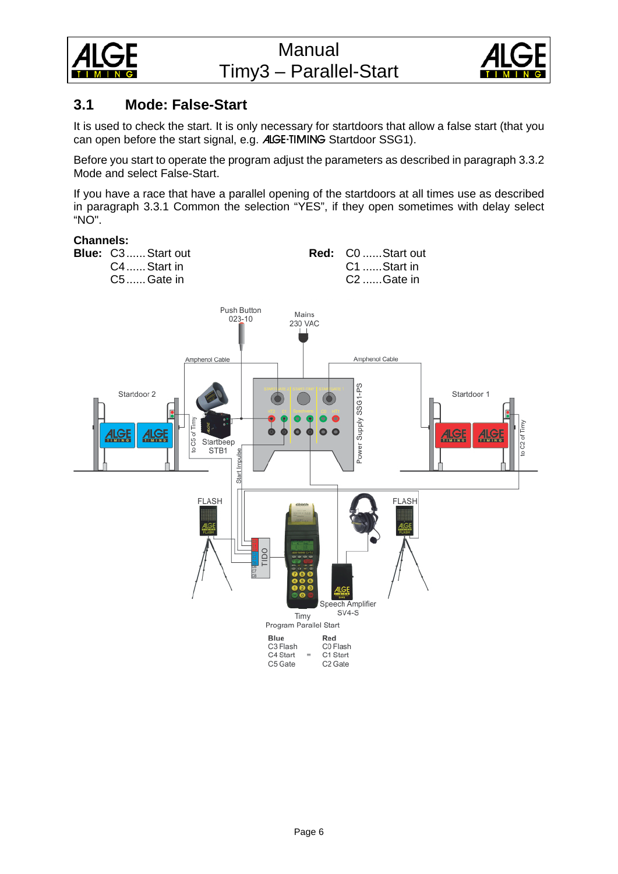



# <span id="page-5-0"></span>**3.1 Mode: False-Start**

It is used to check the start. It is only necessary for startdoors that allow a false start (that you can open before the start signal, e.g. ALGE-TIMING Startdoor SSG1).

Before you start to operate the program adjust the parameters as described in paragraph 3.3.2 Mode and select False-Start.

If you have a race that have a parallel opening of the startdoors at all times use as described in paragraph 3.3.1 Common the selection "YES", if they open sometimes with delay select "NO".

## **Channels:**

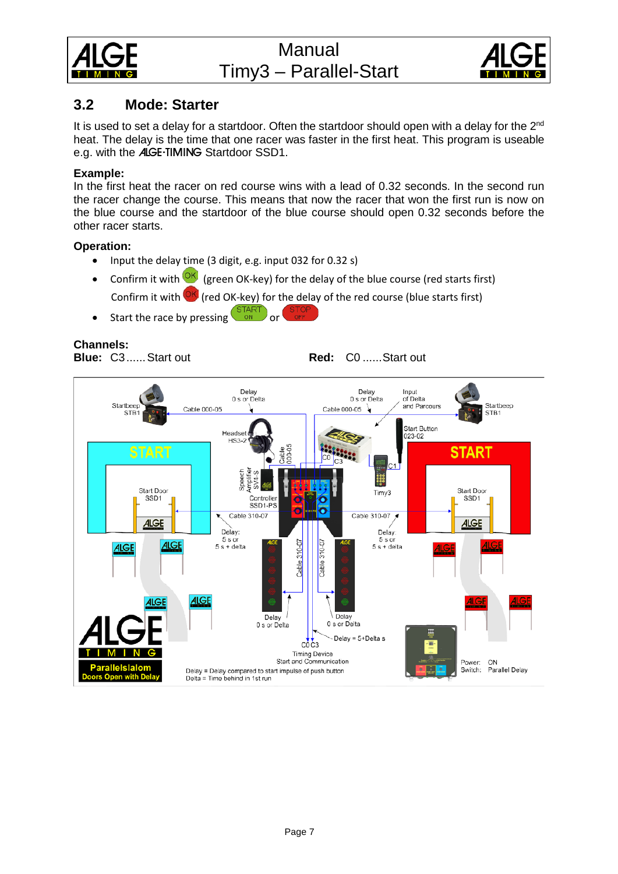



# <span id="page-6-0"></span>**3.2 Mode: Starter**

It is used to set a delay for a startdoor. Often the startdoor should open with a delay for the 2<sup>nd</sup> heat. The delay is the time that one racer was faster in the first heat. This program is useable e.g. with the ALGE-TIMING Startdoor SSD1.

## **Example:**

In the first heat the racer on red course wins with a lead of 0.32 seconds. In the second run the racer change the course. This means that now the racer that won the first run is now on the blue course and the startdoor of the blue course should open 0.32 seconds before the other racer starts.

## **Operation:**

- Input the delay time (3 digit, e.g. input 032 for 0.32 s)
- Confirm it with  $\frac{QK}{Q}$  (green OK-key) for the delay of the blue course (red starts first)

Confirm it with  $\overline{\text{OK}}$  (red OK-key) for the delay of the red course (blue starts first)

• Start the race by pressing  $\frac{\text{SITART}}{\text{ON}}$  or

## **Channels:**

**Blue:** C3...... Start out **Red:** C0 ...... Start out